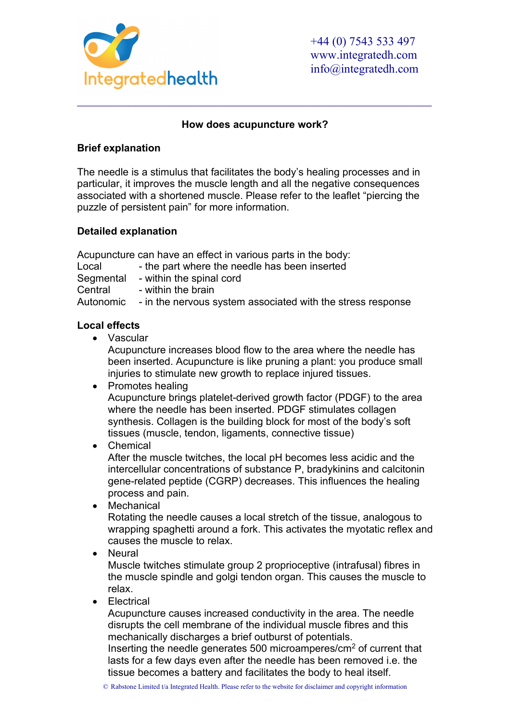

#### **How does acupuncture work?**

\_\_\_\_\_\_\_\_\_\_\_\_\_\_\_\_\_\_\_\_\_\_\_\_\_\_\_\_\_\_\_\_\_\_\_\_\_\_\_\_\_\_\_\_\_\_\_\_\_\_\_\_\_\_\_\_\_\_\_\_\_\_

### **Brief explanation**

The needle is a stimulus that facilitates the body's healing processes and in particular, it improves the muscle length and all the negative consequences associated with a shortened muscle. Please refer to the leaflet "piercing the puzzle of persistent pain" for more information.

## **Detailed explanation**

Acupuncture can have an effect in various parts in the body:

Local - the part where the needle has been inserted

Segmental - within the spinal cord<br>Central - within the brain - within the brain

Autonomic - in the nervous system associated with the stress response

## **Local effects**

• Vascular

Acupuncture increases blood flow to the area where the needle has been inserted. Acupuncture is like pruning a plant: you produce small injuries to stimulate new growth to replace injured tissues.

• Promotes healing

Acupuncture brings platelet-derived growth factor (PDGF) to the area where the needle has been inserted. PDGF stimulates collagen synthesis. Collagen is the building block for most of the body's soft tissues (muscle, tendon, ligaments, connective tissue)

• Chemical

After the muscle twitches, the local pH becomes less acidic and the intercellular concentrations of substance P, bradykinins and calcitonin gene-related peptide (CGRP) decreases. This influences the healing process and pain.

• Mechanical

Rotating the needle causes a local stretch of the tissue, analogous to wrapping spaghetti around a fork. This activates the myotatic reflex and causes the muscle to relax.

• Neural

Muscle twitches stimulate group 2 proprioceptive (intrafusal) fibres in the muscle spindle and golgi tendon organ. This causes the muscle to relax.

• Electrical

Acupuncture causes increased conductivity in the area. The needle disrupts the cell membrane of the individual muscle fibres and this mechanically discharges a brief outburst of potentials.

Inserting the needle generates 500 microamperes/cm<sup>2</sup> of current that lasts for a few days even after the needle has been removed i.e. the tissue becomes a battery and facilitates the body to heal itself.